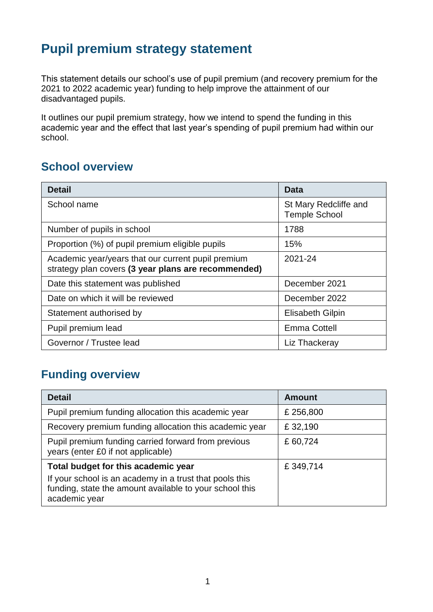## **Pupil premium strategy statement**

This statement details our school's use of pupil premium (and recovery premium for the 2021 to 2022 academic year) funding to help improve the attainment of our disadvantaged pupils.

It outlines our pupil premium strategy, how we intend to spend the funding in this academic year and the effect that last year's spending of pupil premium had within our school.

#### **School overview**

| <b>Detail</b>                                                                                             | Data                                          |
|-----------------------------------------------------------------------------------------------------------|-----------------------------------------------|
| School name                                                                                               | St Mary Redcliffe and<br><b>Temple School</b> |
| Number of pupils in school                                                                                | 1788                                          |
| Proportion (%) of pupil premium eligible pupils                                                           | 15%                                           |
| Academic year/years that our current pupil premium<br>strategy plan covers (3 year plans are recommended) | 2021-24                                       |
| Date this statement was published                                                                         | December 2021                                 |
| Date on which it will be reviewed                                                                         | December 2022                                 |
| Statement authorised by                                                                                   | <b>Elisabeth Gilpin</b>                       |
| Pupil premium lead                                                                                        | Emma Cottell                                  |
| Governor / Trustee lead                                                                                   | Liz Thackeray                                 |

### **Funding overview**

| <b>Detail</b>                                                                                                                                                              | <b>Amount</b> |
|----------------------------------------------------------------------------------------------------------------------------------------------------------------------------|---------------|
| Pupil premium funding allocation this academic year                                                                                                                        | £ 256,800     |
| Recovery premium funding allocation this academic year                                                                                                                     | £32,190       |
| Pupil premium funding carried forward from previous<br>years (enter £0 if not applicable)                                                                                  | £60,724       |
| Total budget for this academic year<br>If your school is an academy in a trust that pools this<br>funding, state the amount available to your school this<br>academic year | £349,714      |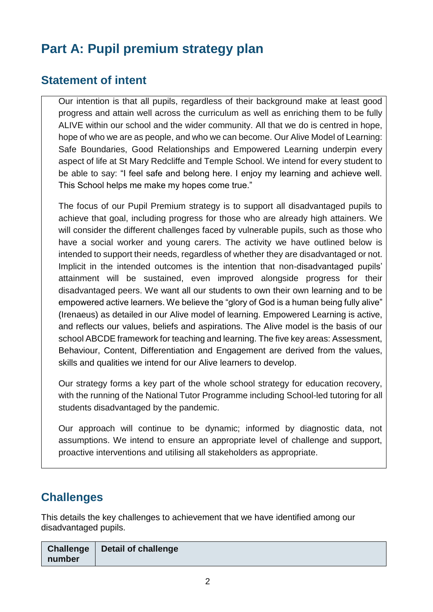# **Part A: Pupil premium strategy plan**

#### **Statement of intent**

Our intention is that all pupils, regardless of their background make at least good progress and attain well across the curriculum as well as enriching them to be fully ALIVE within our school and the wider community. All that we do is centred in hope, hope of who we are as people, and who we can become. Our Alive Model of Learning: Safe Boundaries, Good Relationships and Empowered Learning underpin every aspect of life at St Mary Redcliffe and Temple School. We intend for every student to be able to say: "I feel safe and belong here. I enjoy my learning and achieve well. This School helps me make my hopes come true."

The focus of our Pupil Premium strategy is to support all disadvantaged pupils to achieve that goal, including progress for those who are already high attainers. We will consider the different challenges faced by vulnerable pupils, such as those who have a social worker and young carers. The activity we have outlined below is intended to support their needs, regardless of whether they are disadvantaged or not. Implicit in the intended outcomes is the intention that non-disadvantaged pupils' attainment will be sustained, even improved alongside progress for their disadvantaged peers. We want all our students to own their own learning and to be empowered active learners. We believe the "glory of God is a human being fully alive" (Irenaeus) as detailed in our Alive model of learning. Empowered Learning is active, and reflects our values, beliefs and aspirations. The Alive model is the basis of our school ABCDE framework for teaching and learning. The five key areas: Assessment, Behaviour, Content, Differentiation and Engagement are derived from the values, skills and qualities we intend for our Alive learners to develop.

Our strategy forms a key part of the whole school strategy for education recovery, with the running of the National Tutor Programme including School-led tutoring for all students disadvantaged by the pandemic.

Our approach will continue to be dynamic; informed by diagnostic data, not assumptions. We intend to ensure an appropriate level of challenge and support, proactive interventions and utilising all stakeholders as appropriate.

#### **Challenges**

This details the key challenges to achievement that we have identified among our disadvantaged pupils.

| number | Challenge   Detail of challenge |
|--------|---------------------------------|
|--------|---------------------------------|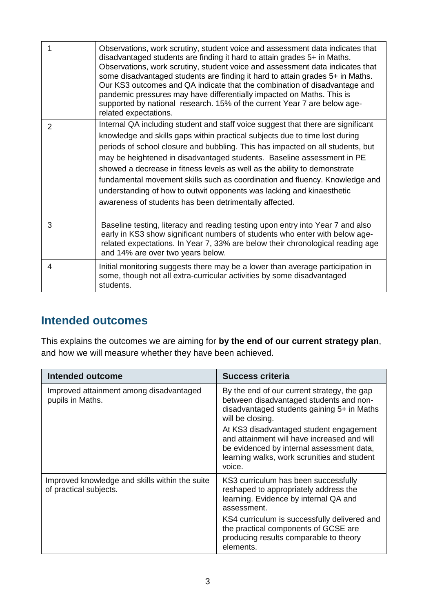|                | Observations, work scrutiny, student voice and assessment data indicates that<br>disadvantaged students are finding it hard to attain grades 5+ in Maths.<br>Observations, work scrutiny, student voice and assessment data indicates that<br>some disadvantaged students are finding it hard to attain grades 5+ in Maths.<br>Our KS3 outcomes and QA indicate that the combination of disadvantage and<br>pandemic pressures may have differentially impacted on Maths. This is<br>supported by national research. 15% of the current Year 7 are below age-<br>related expectations.                                     |
|----------------|----------------------------------------------------------------------------------------------------------------------------------------------------------------------------------------------------------------------------------------------------------------------------------------------------------------------------------------------------------------------------------------------------------------------------------------------------------------------------------------------------------------------------------------------------------------------------------------------------------------------------|
| $\overline{2}$ | Internal QA including student and staff voice suggest that there are significant<br>knowledge and skills gaps within practical subjects due to time lost during<br>periods of school closure and bubbling. This has impacted on all students, but<br>may be heightened in disadvantaged students. Baseline assessment in PE<br>showed a decrease in fitness levels as well as the ability to demonstrate<br>fundamental movement skills such as coordination and fluency. Knowledge and<br>understanding of how to outwit opponents was lacking and kinaesthetic<br>awareness of students has been detrimentally affected. |
| 3              | Baseline testing, literacy and reading testing upon entry into Year 7 and also<br>early in KS3 show significant numbers of students who enter with below age-<br>related expectations. In Year 7, 33% are below their chronological reading age<br>and 14% are over two years below.                                                                                                                                                                                                                                                                                                                                       |
| 4              | Initial monitoring suggests there may be a lower than average participation in<br>some, though not all extra-curricular activities by some disadvantaged<br>students.                                                                                                                                                                                                                                                                                                                                                                                                                                                      |

#### **Intended outcomes**

This explains the outcomes we are aiming for **by the end of our current strategy plan**, and how we will measure whether they have been achieved.

| Intended outcome                                                         | <b>Success criteria</b>                                                                                                                                                                      |
|--------------------------------------------------------------------------|----------------------------------------------------------------------------------------------------------------------------------------------------------------------------------------------|
| Improved attainment among disadvantaged<br>pupils in Maths.              | By the end of our current strategy, the gap<br>between disadvantaged students and non-<br>disadvantaged students gaining 5+ in Maths<br>will be closing.                                     |
|                                                                          | At KS3 disadvantaged student engagement<br>and attainment will have increased and will<br>be evidenced by internal assessment data,<br>learning walks, work scrunities and student<br>voice. |
| Improved knowledge and skills within the suite<br>of practical subjects. | KS3 curriculum has been successfully<br>reshaped to appropriately address the<br>learning. Evidence by internal QA and<br>assessment.                                                        |
|                                                                          | KS4 curriculum is successfully delivered and<br>the practical components of GCSE are<br>producing results comparable to theory<br>elements.                                                  |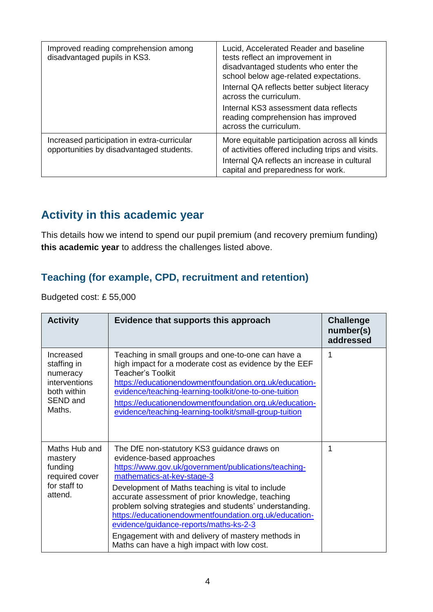| Improved reading comprehension among<br>disadvantaged pupils in KS3.                    | Lucid, Accelerated Reader and baseline<br>tests reflect an improvement in<br>disadvantaged students who enter the<br>school below age-related expectations. |  |
|-----------------------------------------------------------------------------------------|-------------------------------------------------------------------------------------------------------------------------------------------------------------|--|
|                                                                                         | Internal QA reflects better subject literacy<br>across the curriculum.                                                                                      |  |
|                                                                                         | Internal KS3 assessment data reflects<br>reading comprehension has improved<br>across the curriculum.                                                       |  |
| Increased participation in extra-curricular<br>opportunities by disadvantaged students. | More equitable participation across all kinds<br>of activities offered including trips and visits.                                                          |  |
|                                                                                         | Internal QA reflects an increase in cultural<br>capital and preparedness for work.                                                                          |  |

### **Activity in this academic year**

This details how we intend to spend our pupil premium (and recovery premium funding) **this academic year** to address the challenges listed above.

#### **Teaching (for example, CPD, recruitment and retention)**

Budgeted cost: £ 55,000

| <b>Activity</b>                                                                            | Evidence that supports this approach                                                                                                                                                                                                                                                                                                                                                                                                                                                                                                        | <b>Challenge</b><br>number(s)<br>addressed |
|--------------------------------------------------------------------------------------------|---------------------------------------------------------------------------------------------------------------------------------------------------------------------------------------------------------------------------------------------------------------------------------------------------------------------------------------------------------------------------------------------------------------------------------------------------------------------------------------------------------------------------------------------|--------------------------------------------|
| Increased<br>staffing in<br>numeracy<br>interventions<br>both within<br>SEND and<br>Maths. | Teaching in small groups and one-to-one can have a<br>high impact for a moderate cost as evidence by the EEF<br>Teacher's Toolkit<br>https://educationendowmentfoundation.org.uk/education-<br>evidence/teaching-learning-toolkit/one-to-one-tuition<br>https://educationendowmentfoundation.org.uk/education-<br>evidence/teaching-learning-toolkit/small-group-tuition                                                                                                                                                                    | 1                                          |
| Maths Hub and<br>mastery<br>funding<br>required cover<br>for staff to<br>attend.           | The DfE non-statutory KS3 guidance draws on<br>evidence-based approaches<br>https://www.gov.uk/government/publications/teaching-<br>mathematics-at-key-stage-3<br>Development of Maths teaching is vital to include<br>accurate assessment of prior knowledge, teaching<br>problem solving strategies and students' understanding.<br>https://educationendowmentfoundation.org.uk/education-<br>evidence/guidance-reports/maths-ks-2-3<br>Engagement with and delivery of mastery methods in<br>Maths can have a high impact with low cost. | 1                                          |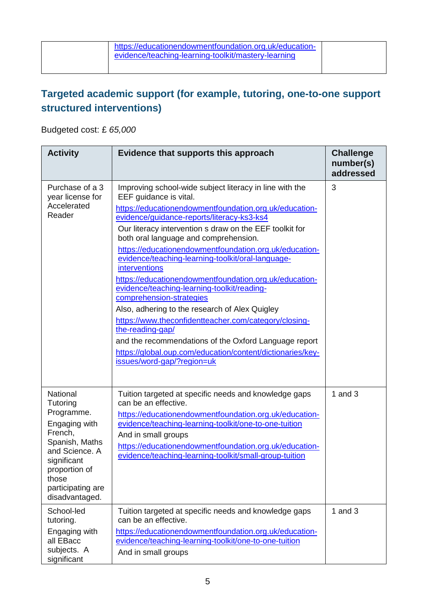| https://educationendowmentfoundation.org.uk/education-<br>evidence/teaching-learning-toolkit/mastery-learning |  |
|---------------------------------------------------------------------------------------------------------------|--|
|                                                                                                               |  |

#### **Targeted academic support (for example, tutoring, one-to-one support structured interventions)**

Budgeted cost: £ *65,000*

| <b>Activity</b>                                                                                                                                                                    | Evidence that supports this approach                                                                                                                                                                                                                                                                                                                                                                                                                                                                                                                                                                                                                                                                                                                                                                                                                   | <b>Challenge</b><br>number(s)<br>addressed |
|------------------------------------------------------------------------------------------------------------------------------------------------------------------------------------|--------------------------------------------------------------------------------------------------------------------------------------------------------------------------------------------------------------------------------------------------------------------------------------------------------------------------------------------------------------------------------------------------------------------------------------------------------------------------------------------------------------------------------------------------------------------------------------------------------------------------------------------------------------------------------------------------------------------------------------------------------------------------------------------------------------------------------------------------------|--------------------------------------------|
| Purchase of a 3<br>year license for<br>Accelerated<br>Reader                                                                                                                       | Improving school-wide subject literacy in line with the<br>EEF guidance is vital.<br>https://educationendowmentfoundation.org.uk/education-<br>evidence/guidance-reports/literacy-ks3-ks4<br>Our literacy intervention s draw on the EEF toolkit for<br>both oral language and comprehension.<br>https://educationendowmentfoundation.org.uk/education-<br>evidence/teaching-learning-toolkit/oral-language-<br>interventions<br>https://educationendowmentfoundation.org.uk/education-<br>evidence/teaching-learning-toolkit/reading-<br>comprehension-strategies<br>Also, adhering to the research of Alex Quigley<br>https://www.theconfidentteacher.com/category/closing-<br>the-reading-gap/<br>and the recommendations of the Oxford Language report<br>https://global.oup.com/education/content/dictionaries/key-<br>issues/word-gap/?region=uk | 3                                          |
| National<br>Tutoring<br>Programme.<br>Engaging with<br>French,<br>Spanish, Maths<br>and Science. A<br>significant<br>proportion of<br>those<br>participating are<br>disadvantaged. | Tuition targeted at specific needs and knowledge gaps<br>can be an effective.<br>https://educationendowmentfoundation.org.uk/education-<br>evidence/teaching-learning-toolkit/one-to-one-tuition<br>And in small groups<br>https://educationendowmentfoundation.org.uk/education-<br>evidence/teaching-learning-toolkit/small-group-tuition                                                                                                                                                                                                                                                                                                                                                                                                                                                                                                            | 1 and $3$                                  |
| School-led<br>tutoring.<br>Engaging with<br>all EBacc<br>subjects. A<br>significant                                                                                                | Tuition targeted at specific needs and knowledge gaps<br>can be an effective.<br>https://educationendowmentfoundation.org.uk/education-<br>evidence/teaching-learning-toolkit/one-to-one-tuition<br>And in small groups                                                                                                                                                                                                                                                                                                                                                                                                                                                                                                                                                                                                                                | 1 and $3$                                  |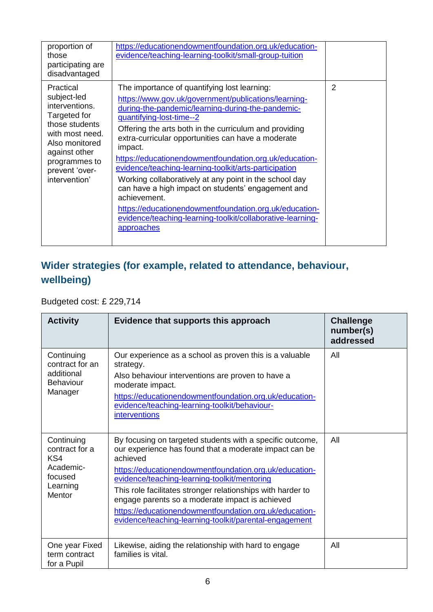| proportion of<br>those<br>participating are<br>disadvantaged                                                                                                                           | https://educationendowmentfoundation.org.uk/education-<br>evidence/teaching-learning-toolkit/small-group-tuition                                                                                                                                                                                                                                                                                                                                                                                                                                                                                                                                                                                          |                |
|----------------------------------------------------------------------------------------------------------------------------------------------------------------------------------------|-----------------------------------------------------------------------------------------------------------------------------------------------------------------------------------------------------------------------------------------------------------------------------------------------------------------------------------------------------------------------------------------------------------------------------------------------------------------------------------------------------------------------------------------------------------------------------------------------------------------------------------------------------------------------------------------------------------|----------------|
| Practical<br>subject-led<br>interventions.<br>Targeted for<br>those students<br>with most need.<br>Also monitored<br>against other<br>programmes to<br>prevent 'over-<br>intervention' | The importance of quantifying lost learning:<br>https://www.gov.uk/government/publications/learning-<br>during-the-pandemic/learning-during-the-pandemic-<br>guantifying-lost-time--2<br>Offering the arts both in the curriculum and providing<br>extra-curricular opportunities can have a moderate<br>impact.<br>https://educationendowmentfoundation.org.uk/education-<br>evidence/teaching-learning-toolkit/arts-participation<br>Working collaboratively at any point in the school day<br>can have a high impact on students' engagement and<br>achievement.<br>https://educationendowmentfoundation.org.uk/education-<br>evidence/teaching-learning-toolkit/collaborative-learning-<br>approaches | $\overline{2}$ |

### **Wider strategies (for example, related to attendance, behaviour, wellbeing)**

Budgeted cost: £ 229,714

| <b>Activity</b>                                                                   | Evidence that supports this approach                                                                                                                                                                                                                                                                                                                                                                                                                                            | <b>Challenge</b><br>number(s)<br>addressed |
|-----------------------------------------------------------------------------------|---------------------------------------------------------------------------------------------------------------------------------------------------------------------------------------------------------------------------------------------------------------------------------------------------------------------------------------------------------------------------------------------------------------------------------------------------------------------------------|--------------------------------------------|
| Continuing<br>contract for an<br>additional<br><b>Behaviour</b><br>Manager        | Our experience as a school as proven this is a valuable<br>strategy.<br>Also behaviour interventions are proven to have a<br>moderate impact.<br>https://educationendowmentfoundation.org.uk/education-<br>evidence/teaching-learning-toolkit/behaviour-<br>interventions                                                                                                                                                                                                       | All                                        |
| Continuing<br>contract for a<br>KS4<br>Academic-<br>focused<br>Learning<br>Mentor | By focusing on targeted students with a specific outcome,<br>our experience has found that a moderate impact can be<br>achieved<br>https://educationendowmentfoundation.org.uk/education-<br>evidence/teaching-learning-toolkit/mentoring<br>This role facilitates stronger relationships with harder to<br>engage parents so a moderate impact is achieved<br>https://educationendowmentfoundation.org.uk/education-<br>evidence/teaching-learning-toolkit/parental-engagement | All                                        |
| One year Fixed<br>term contract<br>for a Pupil                                    | Likewise, aiding the relationship with hard to engage<br>families is vital.                                                                                                                                                                                                                                                                                                                                                                                                     | All                                        |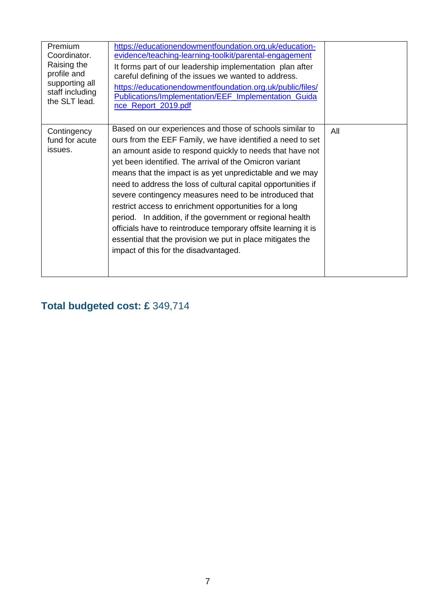| Premium<br>Coordinator.<br>Raising the<br>profile and<br>supporting all<br>staff including<br>the SLT lead. | https://educationendowmentfoundation.org.uk/education-<br>evidence/teaching-learning-toolkit/parental-engagement<br>It forms part of our leadership implementation plan after<br>careful defining of the issues we wanted to address.<br>https://educationendowmentfoundation.org.uk/public/files/<br>Publications/Implementation/EEF Implementation Guida<br>nce_Report_2019.pdf                                                                                                                                                                                                                                                                                                                                                     |     |
|-------------------------------------------------------------------------------------------------------------|---------------------------------------------------------------------------------------------------------------------------------------------------------------------------------------------------------------------------------------------------------------------------------------------------------------------------------------------------------------------------------------------------------------------------------------------------------------------------------------------------------------------------------------------------------------------------------------------------------------------------------------------------------------------------------------------------------------------------------------|-----|
| Contingency<br>fund for acute<br>issues.                                                                    | Based on our experiences and those of schools similar to<br>ours from the EEF Family, we have identified a need to set<br>an amount aside to respond quickly to needs that have not<br>yet been identified. The arrival of the Omicron variant<br>means that the impact is as yet unpredictable and we may<br>need to address the loss of cultural capital opportunities if<br>severe contingency measures need to be introduced that<br>restrict access to enrichment opportunities for a long<br>period. In addition, if the government or regional health<br>officials have to reintroduce temporary offsite learning it is<br>essential that the provision we put in place mitigates the<br>impact of this for the disadvantaged. | All |

# **Total budgeted cost: £** 349,714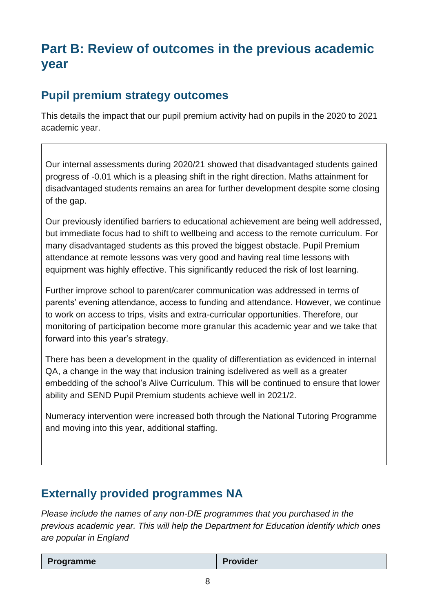## **Part B: Review of outcomes in the previous academic year**

#### **Pupil premium strategy outcomes**

This details the impact that our pupil premium activity had on pupils in the 2020 to 2021 academic year.

Our internal assessments during 2020/21 showed that disadvantaged students gained progress of -0.01 which is a pleasing shift in the right direction. Maths attainment for disadvantaged students remains an area for further development despite some closing of the gap.

Our previously identified barriers to educational achievement are being well addressed, but immediate focus had to shift to wellbeing and access to the remote curriculum. For many disadvantaged students as this proved the biggest obstacle. Pupil Premium attendance at remote lessons was very good and having real time lessons with equipment was highly effective. This significantly reduced the risk of lost learning.

Further improve school to parent/carer communication was addressed in terms of parents' evening attendance, access to funding and attendance. However, we continue to work on access to trips, visits and extra-curricular opportunities. Therefore, our monitoring of participation become more granular this academic year and we take that forward into this year's strategy.

There has been a development in the quality of differentiation as evidenced in internal QA, a change in the way that inclusion training isdelivered as well as a greater embedding of the school's Alive Curriculum. This will be continued to ensure that lower ability and SEND Pupil Premium students achieve well in 2021/2.

Numeracy intervention were increased both through the National Tutoring Programme and moving into this year, additional staffing.

#### **Externally provided programmes NA**

*Please include the names of any non-DfE programmes that you purchased in the previous academic year. This will help the Department for Education identify which ones are popular in England*

| Programme | <b>Provider</b> |
|-----------|-----------------|
|           |                 |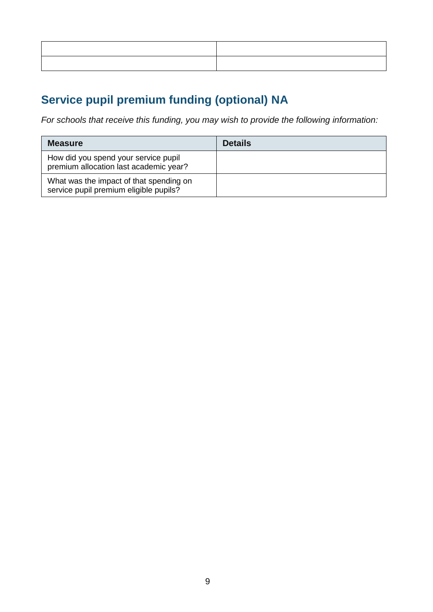### **Service pupil premium funding (optional) NA**

*For schools that receive this funding, you may wish to provide the following information:* 

| <b>Measure</b>                                                                    | <b>Details</b> |
|-----------------------------------------------------------------------------------|----------------|
| How did you spend your service pupil<br>premium allocation last academic year?    |                |
| What was the impact of that spending on<br>service pupil premium eligible pupils? |                |